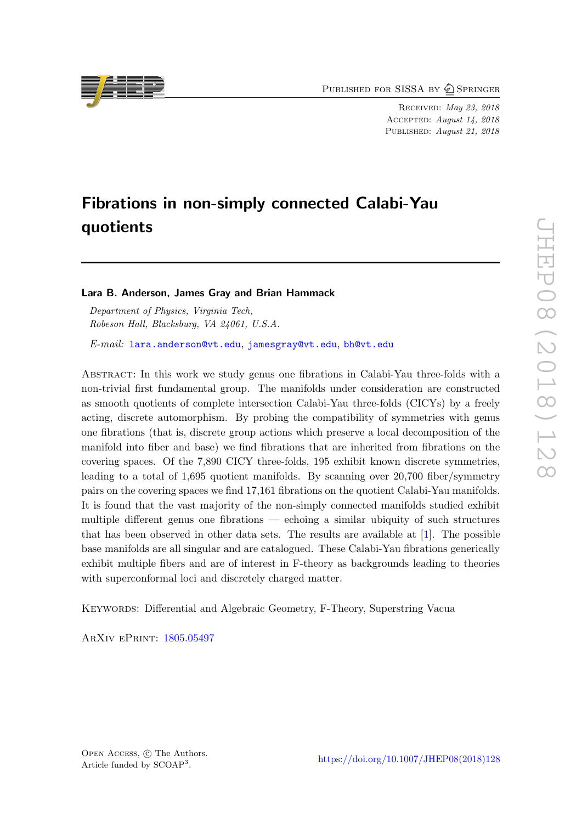PUBLISHED FOR SISSA BY 2 SPRINGER

Received: May 23, 2018 Accepted: August 14, 2018 PUBLISHED: August 21, 2018

# Fibrations in non-simply connected Calabi-Yau quotients

#### Lara B. Anderson, James Gray and Brian Hammack

Department of Physics, Virginia Tech, Robeson Hall, Blacksburg, VA 24061, U.S.A.

 $E\text{-}mail: \texttt{lara}.\texttt{anderson@vt.edu}, \texttt{jamesgray@vt.edu}, \texttt{bhdwt.edu}$  $E\text{-}mail: \texttt{lara}.\texttt{anderson@vt.edu}, \texttt{jamesgray@vt.edu}, \texttt{bhdwt.edu}$  $E\text{-}mail: \texttt{lara}.\texttt{anderson@vt.edu}, \texttt{jamesgray@vt.edu}, \texttt{bhdwt.edu}$ 

Abstract: In this work we study genus one fibrations in Calabi-Yau three-folds with a non-trivial first fundamental group. The manifolds under consideration are constructed as smooth quotients of complete intersection Calabi-Yau three-folds (CICYs) by a freely acting, discrete automorphism. By probing the compatibility of symmetries with genus one fibrations (that is, discrete group actions which preserve a local decomposition of the manifold into fiber and base) we find fibrations that are inherited from fibrations on the covering spaces. Of the 7,890 CICY three-folds, 195 exhibit known discrete symmetries, leading to a total of 1,695 quotient manifolds. By scanning over 20,700 fiber/symmetry pairs on the covering spaces we find 17,161 fibrations on the quotient Calabi-Yau manifolds. It is found that the vast majority of the non-simply connected manifolds studied exhibit multiple different genus one fibrations — echoing a similar ubiquity of such structures that has been observed in other data sets. The results are available at [\[1\]](#page-18-0). The possible base manifolds are all singular and are catalogued. These Calabi-Yau fibrations generically exhibit multiple fibers and are of interest in F-theory as backgrounds leading to theories with superconformal loci and discretely charged matter.

Keywords: Differential and Algebraic Geometry, F-Theory, Superstring Vacua

ArXiv ePrint: [1805.05497](https://arxiv.org/abs/1805.05497)

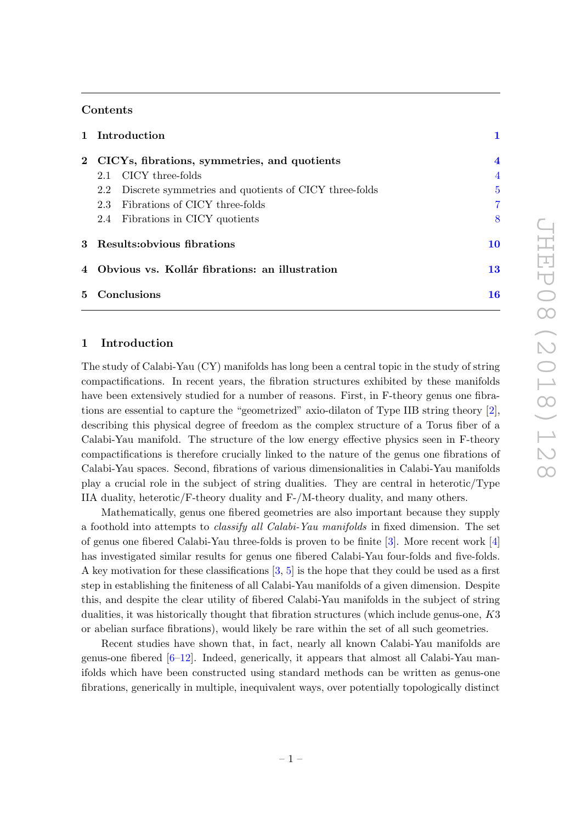### Contents

|               | 1 Introduction                                            |                 |  |
|---------------|-----------------------------------------------------------|-----------------|--|
|               | 2 CICYs, fibrations, symmetries, and quotients            | 4               |  |
|               | 2.1 CICY three-folds                                      | $\overline{4}$  |  |
|               | 2.2 Discrete symmetries and quotients of CICY three-folds | $5\overline{)}$ |  |
|               | 2.3 Fibrations of CICY three-folds                        | $\overline{7}$  |  |
|               | 2.4 Fibrations in CICY quotients                          | 8               |  |
|               | 3 Results: obvious fibrations                             | 10              |  |
|               | 4 Obvious vs. Kollár fibrations: an illustration          |                 |  |
| 5 Conclusions |                                                           | 16              |  |

# <span id="page-1-0"></span>1 Introduction

The study of Calabi-Yau (CY) manifolds has long been a central topic in the study of string compactifications. In recent years, the fibration structures exhibited by these manifolds have been extensively studied for a number of reasons. First, in F-theory genus one fibrations are essential to capture the "geometrized" axio-dilaton of Type IIB string theory [\[2\]](#page-18-1), describing this physical degree of freedom as the complex structure of a Torus fiber of a Calabi-Yau manifold. The structure of the low energy effective physics seen in F-theory compactifications is therefore crucially linked to the nature of the genus one fibrations of Calabi-Yau spaces. Second, fibrations of various dimensionalities in Calabi-Yau manifolds play a crucial role in the subject of string dualities. They are central in heterotic/Type IIA duality, heterotic/F-theory duality and F-/M-theory duality, and many others.

Mathematically, genus one fibered geometries are also important because they supply a foothold into attempts to classify all Calabi-Yau manifolds in fixed dimension. The set of genus one fibered Calabi-Yau three-folds is proven to be finite [\[3\]](#page-18-2). More recent work [\[4\]](#page-18-3) has investigated similar results for genus one fibered Calabi-Yau four-folds and five-folds. A key motivation for these classifications  $\left[3, 5\right]$  is the hope that they could be used as a first step in establishing the finiteness of all Calabi-Yau manifolds of a given dimension. Despite this, and despite the clear utility of fibered Calabi-Yau manifolds in the subject of string dualities, it was historically thought that fibration structures (which include genus-one, K3 or abelian surface fibrations), would likely be rare within the set of all such geometries.

Recent studies have shown that, in fact, nearly all known Calabi-Yau manifolds are genus-one fibered [\[6–](#page-18-5)[12\]](#page-18-6). Indeed, generically, it appears that almost all Calabi-Yau manifolds which have been constructed using standard methods can be written as genus-one fibrations, generically in multiple, inequivalent ways, over potentially topologically distinct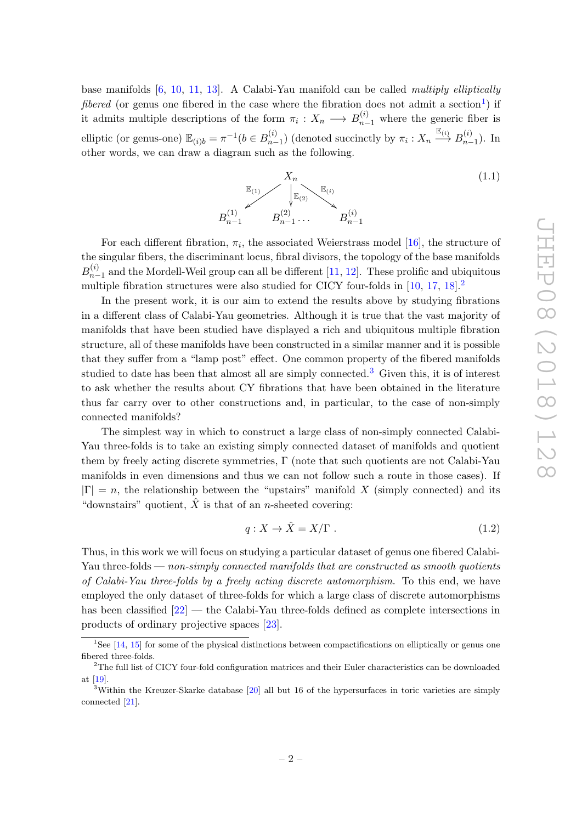(1.1)

base manifolds  $[6, 10, 11, 13]$  $[6, 10, 11, 13]$  $[6, 10, 11, 13]$  $[6, 10, 11, 13]$  $[6, 10, 11, 13]$  $[6, 10, 11, 13]$ . A Calabi-Yau manifold can be called *multiply elliptically fibered* (or genus one fibered in the case where the fibration does not admit a section<sup>[1](#page-2-0)</sup>) if it admits multiple descriptions of the form  $\pi_i: X_n \longrightarrow B_{n-1}^{(i)}$  where the generic fiber is elliptic (or genus-one)  $\mathbb{E}_{(i)b} = \pi^{-1}(b \in B_{n-1}^{(i)})$  $\binom{i}{n-1}$  (denoted succinctly by  $\pi_i: X_n \stackrel{\mathbb{E}_{(i)}}{\longrightarrow} B_{n-1}^{(i)}$  $\binom{n}{n-1}$ . In other words, we can draw a diagram such as the following.

> $X_n$  $\mathbb{E}_{(1)}$ z  $\mathbb{E}_{(2)}$   $\mathbb{E}_{(i)}$ ľ \$  $B_{n-1}^{(1)}$   $B_{n-1}^{(2)}$  $B_{n-1}^{(2)}$  ...  $B_{n-1}^{(i)}$

For each different fibration,  $\pi_i$ , the associated Weierstrass model [\[16\]](#page-18-10), the structure of the singular fibers, the discriminant locus, fibral divisors, the topology of the base manifolds  $B_{n-}^{(i)}$  $n_{n-1}^{(i)}$  and the Mordell-Weil group can all be different [\[11,](#page-18-8) [12\]](#page-18-6). These prolific and ubiquitous multiple fibration structures were also studied for CICY four-folds in  $[10, 17, 18]$  $[10, 17, 18]$  $[10, 17, 18]$  $[10, 17, 18]$ <sup>[2](#page-2-1)</sup>

In the present work, it is our aim to extend the results above by studying fibrations in a different class of Calabi-Yau geometries. Although it is true that the vast majority of manifolds that have been studied have displayed a rich and ubiquitous multiple fibration structure, all of these manifolds have been constructed in a similar manner and it is possible that they suffer from a "lamp post" effect. One common property of the fibered manifolds studied to date has been that almost all are simply connected.<sup>[3](#page-2-2)</sup> Given this, it is of interest to ask whether the results about CY fibrations that have been obtained in the literature thus far carry over to other constructions and, in particular, to the case of non-simply connected manifolds?

The simplest way in which to construct a large class of non-simply connected Calabi-Yau three-folds is to take an existing simply connected dataset of manifolds and quotient them by freely acting discrete symmetries, Γ (note that such quotients are not Calabi-Yau manifolds in even dimensions and thus we can not follow such a route in those cases). If  $|\Gamma| = n$ , the relationship between the "upstairs" manifold X (simply connected) and its "downstairs" quotient,  $\hat{X}$  is that of an *n*-sheeted covering:

<span id="page-2-3"></span>
$$
q: X \to \hat{X} = X/\Gamma . \tag{1.2}
$$

Thus, in this work we will focus on studying a particular dataset of genus one fibered Calabi-Yau three-folds — non-simply connected manifolds that are constructed as smooth quotients of Calabi-Yau three-folds by a freely acting discrete automorphism. To this end, we have employed the only dataset of three-folds for which a large class of discrete automorphisms has been classified  $[22]$  — the Calabi-Yau three-folds defined as complete intersections in products of ordinary projective spaces [\[23\]](#page-19-2).

<span id="page-2-0"></span><sup>&</sup>lt;sup>1</sup>See  $[14, 15]$  $[14, 15]$  $[14, 15]$  for some of the physical distinctions between compactifications on elliptically or genus one fibered three-folds.

<span id="page-2-1"></span><sup>&</sup>lt;sup>2</sup>The full list of CICY four-fold configuration matrices and their Euler characteristics can be downloaded at [\[19\]](#page-19-3).

<span id="page-2-2"></span><sup>&</sup>lt;sup>3</sup>Within the Kreuzer-Skarke database [\[20\]](#page-19-4) all but 16 of the hypersurfaces in toric varieties are simply connected [\[21\]](#page-19-5).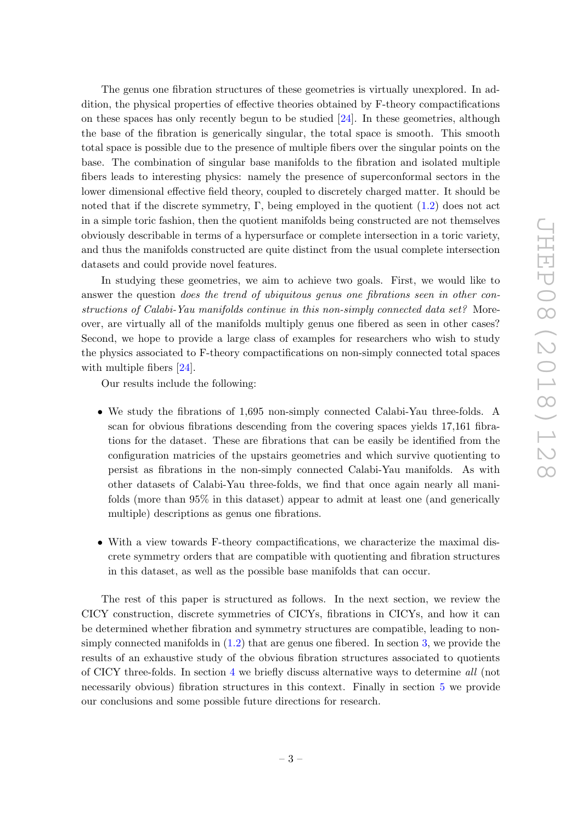The genus one fibration structures of these geometries is virtually unexplored. In addition, the physical properties of effective theories obtained by F-theory compactifications on these spaces has only recently begun to be studied [\[24\]](#page-19-6). In these geometries, although the base of the fibration is generically singular, the total space is smooth. This smooth total space is possible due to the presence of multiple fibers over the singular points on the base. The combination of singular base manifolds to the fibration and isolated multiple fibers leads to interesting physics: namely the presence of superconformal sectors in the lower dimensional effective field theory, coupled to discretely charged matter. It should be noted that if the discrete symmetry,  $\Gamma$ , being employed in the quotient  $(1.2)$  does not act in a simple toric fashion, then the quotient manifolds being constructed are not themselves obviously describable in terms of a hypersurface or complete intersection in a toric variety, and thus the manifolds constructed are quite distinct from the usual complete intersection datasets and could provide novel features.

In studying these geometries, we aim to achieve two goals. First, we would like to answer the question does the trend of ubiquitous genus one fibrations seen in other constructions of Calabi-Yau manifolds continue in this non-simply connected data set? Moreover, are virtually all of the manifolds multiply genus one fibered as seen in other cases? Second, we hope to provide a large class of examples for researchers who wish to study the physics associated to F-theory compactifications on non-simply connected total spaces with multiple fibers [\[24\]](#page-19-6).

Our results include the following:

- We study the fibrations of 1,695 non-simply connected Calabi-Yau three-folds. A scan for obvious fibrations descending from the covering spaces yields 17,161 fibrations for the dataset. These are fibrations that can be easily be identified from the configuration matricies of the upstairs geometries and which survive quotienting to persist as fibrations in the non-simply connected Calabi-Yau manifolds. As with other datasets of Calabi-Yau three-folds, we find that once again nearly all manifolds (more than 95% in this dataset) appear to admit at least one (and generically multiple) descriptions as genus one fibrations.
- With a view towards F-theory compactifications, we characterize the maximal discrete symmetry orders that are compatible with quotienting and fibration structures in this dataset, as well as the possible base manifolds that can occur.

The rest of this paper is structured as follows. In the next section, we review the CICY construction, discrete symmetries of CICYs, fibrations in CICYs, and how it can be determined whether fibration and symmetry structures are compatible, leading to nonsimply connected manifolds in  $(1.2)$  that are genus one fibered. In section [3,](#page-10-0) we provide the results of an exhaustive study of the obvious fibration structures associated to quotients of CICY three-folds. In section [4](#page-13-0) we briefly discuss alternative ways to determine all (not necessarily obvious) fibration structures in this context. Finally in section [5](#page-16-0) we provide our conclusions and some possible future directions for research.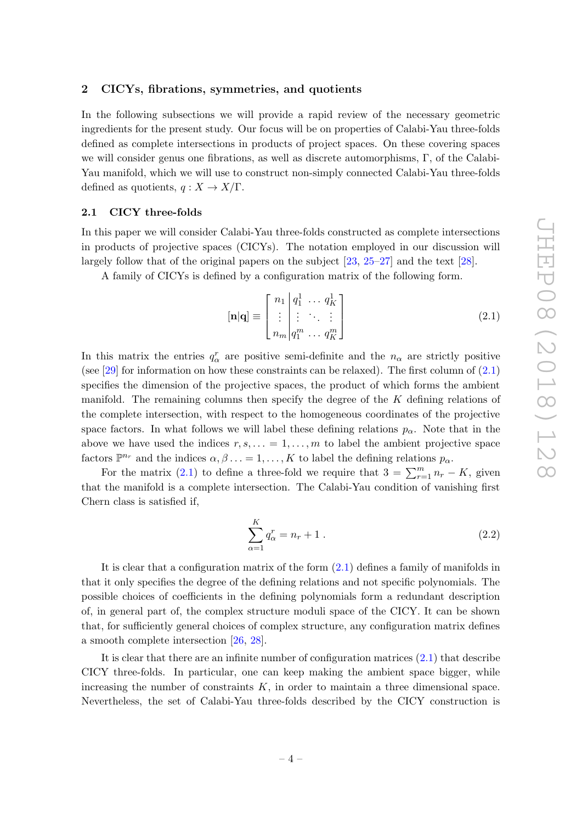#### <span id="page-4-0"></span>2 CICYs, fibrations, symmetries, and quotients

In the following subsections we will provide a rapid review of the necessary geometric ingredients for the present study. Our focus will be on properties of Calabi-Yau three-folds defined as complete intersections in products of project spaces. On these covering spaces we will consider genus one fibrations, as well as discrete automorphisms, Γ, of the Calabi-Yau manifold, which we will use to construct non-simply connected Calabi-Yau three-folds defined as quotients,  $q: X \to X/\Gamma$ .

#### <span id="page-4-1"></span>2.1 CICY three-folds

In this paper we will consider Calabi-Yau three-folds constructed as complete intersections in products of projective spaces (CICYs). The notation employed in our discussion will largely follow that of the original papers on the subject [\[23,](#page-19-2) [25](#page-19-7)[–27\]](#page-19-8) and the text [\[28\]](#page-19-9).

A family of CICYs is defined by a configuration matrix of the following form.

<span id="page-4-2"></span>
$$
[\mathbf{n}|\mathbf{q}] \equiv \begin{bmatrix} n_1 & q_1^1 & \cdots & q_K^1 \\ \vdots & \vdots & \ddots & \vdots \\ n_m & q_1^m & \cdots & q_K^m \end{bmatrix}
$$
 (2.1)

In this matrix the entries  $q_{\alpha}^{r}$  are positive semi-definite and the  $n_{\alpha}$  are strictly positive (see  $[29]$  for information on how these constraints can be relaxed). The first column of  $(2.1)$ specifies the dimension of the projective spaces, the product of which forms the ambient manifold. The remaining columns then specify the degree of the  $K$  defining relations of the complete intersection, with respect to the homogeneous coordinates of the projective space factors. In what follows we will label these defining relations  $p_{\alpha}$ . Note that in the above we have used the indices  $r, s, \ldots = 1, \ldots, m$  to label the ambient projective space factors  $\mathbb{P}^{n_r}$  and the indices  $\alpha, \beta \ldots = 1, \ldots, K$  to label the defining relations  $p_\alpha$ .

For the matrix [\(2.1\)](#page-4-2) to define a three-fold we require that  $3 = \sum_{r=1}^{m} n_r - K$ , given that the manifold is a complete intersection. The Calabi-Yau condition of vanishing first Chern class is satisfied if,

$$
\sum_{\alpha=1}^{K} q_{\alpha}^{r} = n_{r} + 1.
$$
 (2.2)

It is clear that a configuration matrix of the form [\(2.1\)](#page-4-2) defines a family of manifolds in that it only specifies the degree of the defining relations and not specific polynomials. The possible choices of coefficients in the defining polynomials form a redundant description of, in general part of, the complex structure moduli space of the CICY. It can be shown that, for sufficiently general choices of complex structure, any configuration matrix defines a smooth complete intersection [\[26,](#page-19-11) [28\]](#page-19-9).

It is clear that there are an infinite number of configuration matrices [\(2.1\)](#page-4-2) that describe CICY three-folds. In particular, one can keep making the ambient space bigger, while increasing the number of constraints  $K$ , in order to maintain a three dimensional space. Nevertheless, the set of Calabi-Yau three-folds described by the CICY construction is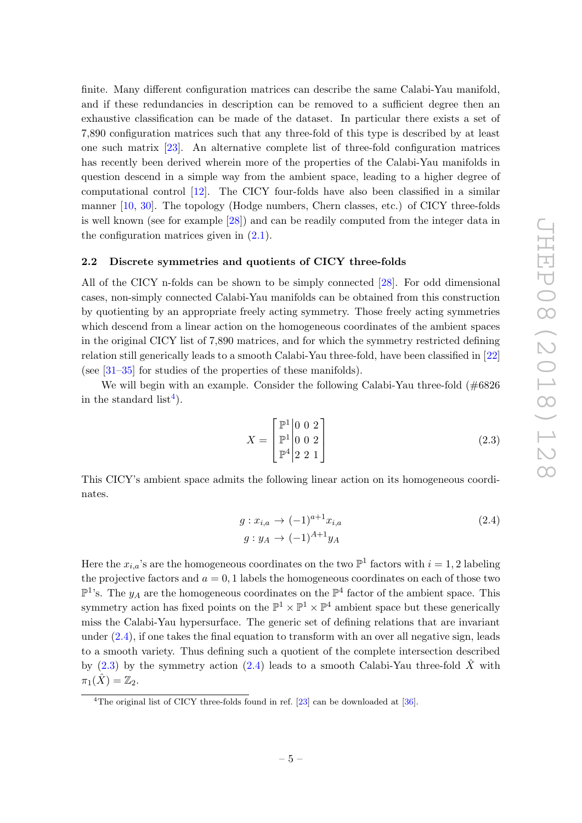finite. Many different configuration matrices can describe the same Calabi-Yau manifold, and if these redundancies in description can be removed to a sufficient degree then an exhaustive classification can be made of the dataset. In particular there exists a set of 7,890 configuration matrices such that any three-fold of this type is described by at least one such matrix [\[23\]](#page-19-2). An alternative complete list of three-fold configuration matrices has recently been derived wherein more of the properties of the Calabi-Yau manifolds in question descend in a simple way from the ambient space, leading to a higher degree of computational control [\[12\]](#page-18-6). The CICY four-folds have also been classified in a similar manner [\[10,](#page-18-7) [30\]](#page-19-12). The topology (Hodge numbers, Chern classes, etc.) of CICY three-folds is well known (see for example [\[28\]](#page-19-9)) and can be readily computed from the integer data in the configuration matrices given in [\(2.1\)](#page-4-2).

#### <span id="page-5-0"></span>2.2 Discrete symmetries and quotients of CICY three-folds

All of the CICY n-folds can be shown to be simply connected [\[28\]](#page-19-9). For odd dimensional cases, non-simply connected Calabi-Yau manifolds can be obtained from this construction by quotienting by an appropriate freely acting symmetry. Those freely acting symmetries which descend from a linear action on the homogeneous coordinates of the ambient spaces in the original CICY list of 7,890 matrices, and for which the symmetry restricted defining relation still generically leads to a smooth Calabi-Yau three-fold, have been classified in [\[22\]](#page-19-1) (see [\[31–](#page-19-13)[35\]](#page-19-14) for studies of the properties of these manifolds).

We will begin with an example. Consider the following Calabi-Yau three-fold  $(\text{\#6826})$ in the standard  $list^4$  $list^4$ .

<span id="page-5-3"></span>
$$
X = \begin{bmatrix} \mathbb{P}^1 & 0 & 0 & 2 \\ \mathbb{P}^1 & 0 & 0 & 2 \\ \mathbb{P}^4 & 2 & 2 & 1 \end{bmatrix}
$$
 (2.3)

This CICY's ambient space admits the following linear action on its homogeneous coordinates.

<span id="page-5-2"></span>
$$
g: x_{i,a} \to (-1)^{a+1} x_{i,a}
$$
  
\n
$$
g: y_A \to (-1)^{A+1} y_A
$$
\n(2.4)

Here the  $x_{i,a}$ 's are the homogeneous coordinates on the two  $\mathbb{P}^1$  factors with  $i = 1, 2$  labeling the projective factors and  $a = 0, 1$  labels the homogeneous coordinates on each of those two  $\mathbb{P}^1$ 's. The  $y_A$  are the homogeneous coordinates on the  $\mathbb{P}^4$  factor of the ambient space. This symmetry action has fixed points on the  $\mathbb{P}^1 \times \mathbb{P}^1 \times \mathbb{P}^4$  ambient space but these generically miss the Calabi-Yau hypersurface. The generic set of defining relations that are invariant under  $(2.4)$ , if one takes the final equation to transform with an over all negative sign, leads to a smooth variety. Thus defining such a quotient of the complete intersection described by  $(2.3)$  by the symmetry action  $(2.4)$  leads to a smooth Calabi-Yau three-fold X with  $\pi_1(\hat{X}) = \mathbb{Z}_2.$ 

<span id="page-5-1"></span><sup>&</sup>lt;sup>4</sup>The original list of CICY three-folds found in ref. [\[23\]](#page-19-2) can be downloaded at [\[36\]](#page-19-15).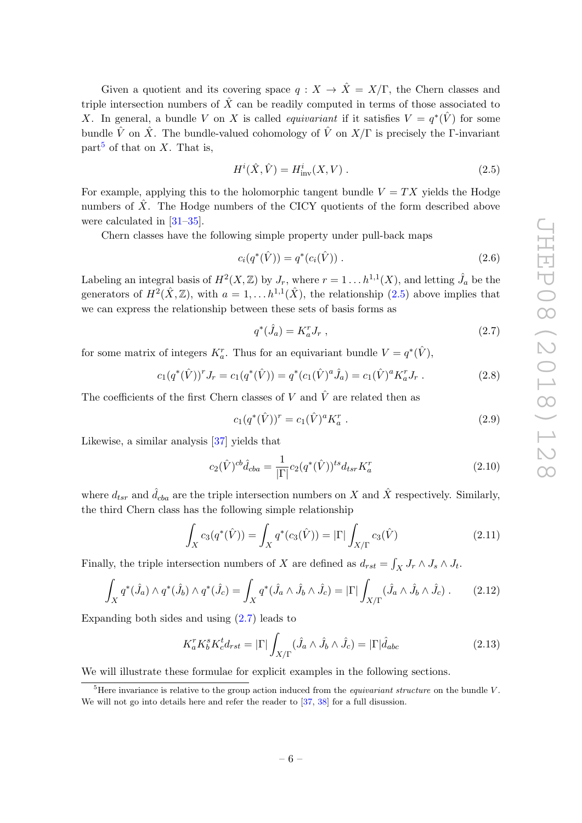Given a quotient and its covering space  $q: X \to \hat{X} = X/\Gamma$ , the Chern classes and triple intersection numbers of  $\hat{X}$  can be readily computed in terms of those associated to X. In general, a bundle V on X is called *equivariant* if it satisfies  $V = q^*(\hat{V})$  for some bundle  $\hat{V}$  on  $\hat{X}$ . The bundle-valued cohomology of  $\hat{V}$  on  $X/\Gamma$  is precisely the Γ-invariant part<sup>[5](#page-6-0)</sup> of that on  $X$ . That is,

<span id="page-6-1"></span>
$$
H^{i}(\hat{X}, \hat{V}) = H_{\text{inv}}^{i}(X, V) .
$$
 (2.5)

For example, applying this to the holomorphic tangent bundle  $V = TX$  yields the Hodge numbers of  $\ddot{X}$ . The Hodge numbers of the CICY quotients of the form described above were calculated in [\[31–](#page-19-13)[35\]](#page-19-14).

Chern classes have the following simple property under pull-back maps

$$
c_i(q^*(\hat{V})) = q^*(c_i(\hat{V})) . \qquad (2.6)
$$

Labeling an integral basis of  $H^2(X,\mathbb{Z})$  by  $J_r$ , where  $r=1 \ldots h^{1,1}(X)$ , and letting  $\hat{J}_a$  be the generators of  $H^2(\hat{X}, \mathbb{Z})$ , with  $a = 1, \ldots h^{1,1}(\hat{X})$ , the relationship  $(2.5)$  above implies that we can express the relationship between these sets of basis forms as

<span id="page-6-2"></span>
$$
q^*(\hat{J}_a) = K_a^r J_r \tag{2.7}
$$

for some matrix of integers  $K_a^r$ . Thus for an equivariant bundle  $V = q^*(\hat{V})$ ,

$$
c_1(q^*(\hat{V}))^r J_r = c_1(q^*(\hat{V})) = q^*(c_1(\hat{V})^a \hat{J}_a) = c_1(\hat{V})^a K_a^r J_r . \qquad (2.8)
$$

The coefficients of the first Chern classes of V and  $\hat{V}$  are related then as

$$
c_1(q^*(\hat{V}))^r = c_1(\hat{V})^a K_a^r . \qquad (2.9)
$$

Likewise, a similar analysis [\[37\]](#page-19-16) yields that

$$
c_2(\hat{V})^{cb}\hat{d}_{cba} = \frac{1}{|\Gamma|}c_2(q^*(\hat{V}))^{ts}d_{tsr}K_a^r
$$
\n(2.10)

where  $d_{tsr}$  and  $\hat{d}_{cba}$  are the triple intersection numbers on X and  $\hat{X}$  respectively. Similarly, the third Chern class has the following simple relationship

$$
\int_{X} c_3(q^*(\hat{V})) = \int_{X} q^*(c_3(\hat{V})) = |\Gamma| \int_{X/\Gamma} c_3(\hat{V})
$$
\n(2.11)

Finally, the triple intersection numbers of X are defined as  $d_{rst} = \int_X J_r \wedge J_s \wedge J_t$ .

$$
\int_X q^*(\hat{J}_a) \wedge q^*(\hat{J}_b) \wedge q^*(\hat{J}_c) = \int_X q^*(\hat{J}_a \wedge \hat{J}_b \wedge \hat{J}_c) = |\Gamma| \int_{X/\Gamma} (\hat{J}_a \wedge \hat{J}_b \wedge \hat{J}_c).
$$
 (2.12)

Expanding both sides and using [\(2.7\)](#page-6-2) leads to

<span id="page-6-3"></span>
$$
K_a^r K_b^s K_c^t d_{rst} = |\Gamma| \int_{X/\Gamma} (\hat{J}_a \wedge \hat{J}_b \wedge \hat{J}_c) = |\Gamma| \hat{d}_{abc}
$$
 (2.13)

We will illustrate these formulae for explicit examples in the following sections.

<span id="page-6-0"></span> $5$ Here invariance is relative to the group action induced from the *equivariant structure* on the bundle V. We will not go into details here and refer the reader to [\[37,](#page-19-16) [38\]](#page-20-0) for a full disussion.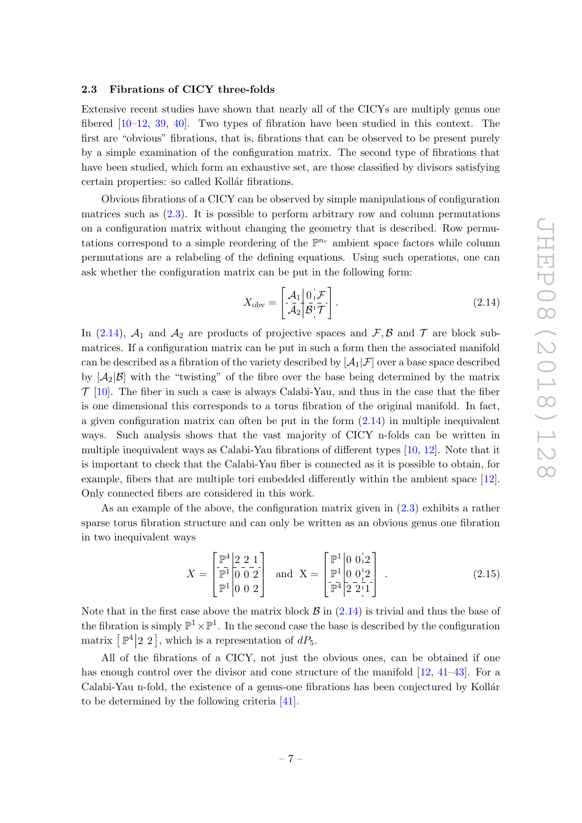#### <span id="page-7-0"></span>2.3 Fibrations of CICY three-folds

Extensive recent studies have shown that nearly all of the CICYs are multiply genus one fibered  $[10-12, 39, 40]$  $[10-12, 39, 40]$  $[10-12, 39, 40]$  $[10-12, 39, 40]$  $[10-12, 39, 40]$  $[10-12, 39, 40]$ . Two types of fibration have been studied in this context. The first are "obvious" fibrations, that is, fibrations that can be observed to be present purely by a simple examination of the configuration matrix. The second type of fibrations that have been studied, which form an exhaustive set, are those classified by divisors satisfying certain properties: so called Kollár fibrations.

Obvious fibrations of a CICY can be observed by simple manipulations of configuration matrices such as [\(2.3\)](#page-5-3). It is possible to perform arbitrary row and column permutations on a configuration matrix without changing the geometry that is described. Row permutations correspond to a simple reordering of the  $\mathbb{P}^{n_r}$  ambient space factors while column permutations are a relabeling of the defining equations. Using such operations, one can ask whether the configuration matrix can be put in the following form:

<span id="page-7-1"></span>
$$
X_{\rm obv} = \left[ \frac{\mathcal{A}_1}{\bar{\mathcal{A}}_2} \Big| \frac{\partial}{\bar{\mathcal{B}}} \Big| \overline{\mathcal{F}} \right]. \tag{2.14}
$$

In [\(2.14\)](#page-7-1),  $A_1$  and  $A_2$  are products of projective spaces and  $\mathcal{F}, \mathcal{B}$  and  $\mathcal{T}$  are block submatrices. If a configuration matrix can be put in such a form then the associated manifold can be described as a fibration of the variety described by  $[A_1|\mathcal{F}]$  over a base space described by  $[A_2|\mathcal{B}]$  with the "twisting" of the fibre over the base being determined by the matrix  $\mathcal{T}$  [\[10\]](#page-18-7). The fiber in such a case is always Calabi-Yau, and thus in the case that the fiber is one dimensional this corresponds to a torus fibration of the original manifold. In fact, a given configuration matrix can often be put in the form [\(2.14\)](#page-7-1) in multiple inequivalent ways. Such analysis shows that the vast majority of CICY n-folds can be written in multiple inequivalent ways as Calabi-Yau fibrations of different types [\[10,](#page-18-7) [12\]](#page-18-6). Note that it is important to check that the Calabi-Yau fiber is connected as it is possible to obtain, for example, fibers that are multiple tori embedded differently within the ambient space [\[12\]](#page-18-6). Only connected fibers are considered in this work.

As an example of the above, the configuration matrix given in [\(2.3\)](#page-5-3) exhibits a rather sparse torus fibration structure and can only be written as an obvious genus one fibration in two inequivalent ways

<span id="page-7-2"></span>
$$
X = \begin{bmatrix} \mathbb{P}^4 & 2 & 2 & 1 \\ \mathbb{P}^1 & 0 & 0 & 2 \\ \mathbb{P}^1 & 0 & 0 & 2 \end{bmatrix} \text{ and } X = \begin{bmatrix} \mathbb{P}^1 & 0 & 0 & 2 \\ \mathbb{P}^1 & 0 & 0 & 2 \\ \mathbb{P}^4 & 2 & 2 & 1 \end{bmatrix} .
$$
 (2.15)

Note that in the first case above the matrix block  $\beta$  in [\(2.14\)](#page-7-1) is trivial and thus the base of the fibration is simply  $\mathbb{P}^1 \times \mathbb{P}^1$ . In the second case the base is described by the configuration matrix  $\lceil \mathbb{P}^4 \rceil 2 \rceil$ , which is a representation of  $dP_5$ .

All of the fibrations of a CICY, not just the obvious ones, can be obtained if one has enough control over the divisor and cone structure of the manifold [\[12,](#page-18-6) [41–](#page-20-3)[43\]](#page-20-4). For a Calabi-Yau n-fold, the existence of a genus-one fibrations has been conjectured by Kollár to be determined by the following criteria [\[41\]](#page-20-3).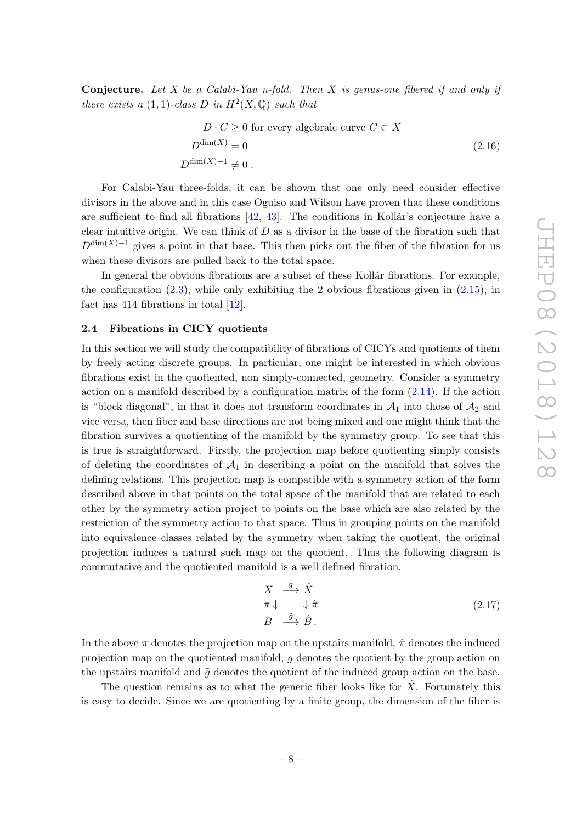**Conjecture.** Let X be a Calabi-Yau n-fold. Then X is genus-one fibered if and only if there exists a  $(1,1)$ -class D in  $H^2(X, \mathbb{Q})$  such that

<span id="page-8-1"></span>
$$
D \cdot C \ge 0 \text{ for every algebraic curve } C \subset X
$$
  

$$
D^{\dim(X)} = 0
$$
  

$$
D^{\dim(X) - 1} \ne 0.
$$
 (2.16)

For Calabi-Yau three-folds, it can be shown that one only need consider effective divisors in the above and in this case Oguiso and Wilson have proven that these conditions are sufficient to find all fibrations  $[42, 43]$  $[42, 43]$ . The conditions in Kollár's conjecture have a clear intuitive origin. We can think of  $D$  as a divisor in the base of the fibration such that  $D^{\dim(X)-1}$  gives a point in that base. This then picks out the fiber of the fibration for us when these divisors are pulled back to the total space.

In general the obvious fibrations are a subset of these Kollár fibrations. For example, the configuration  $(2.3)$ , while only exhibiting the 2 obvious fibrations given in  $(2.15)$ , in fact has 414 fibrations in total [\[12\]](#page-18-6).

#### <span id="page-8-0"></span>2.4 Fibrations in CICY quotients

In this section we will study the compatibility of fibrations of CICYs and quotients of them by freely acting discrete groups. In particular, one might be interested in which obvious fibrations exist in the quotiented, non simply-connected, geometry. Consider a symmetry action on a manifold described by a configuration matrix of the form [\(2.14\)](#page-7-1). If the action is "block diagonal", in that it does not transform coordinates in  $A_1$  into those of  $A_2$  and vice versa, then fiber and base directions are not being mixed and one might think that the fibration survives a quotienting of the manifold by the symmetry group. To see that this is true is straightforward. Firstly, the projection map before quotienting simply consists of deleting the coordinates of  $\mathcal{A}_1$  in describing a point on the manifold that solves the defining relations. This projection map is compatible with a symmetry action of the form described above in that points on the total space of the manifold that are related to each other by the symmetry action project to points on the base which are also related by the restriction of the symmetry action to that space. Thus in grouping points on the manifold into equivalence classes related by the symmetry when taking the quotient, the original projection induces a natural such map on the quotient. Thus the following diagram is commutative and the quotiented manifold is a well defined fibration.

$$
X \xrightarrow{g} \hat{X}
$$
  
\n
$$
\pi \downarrow \qquad \downarrow \hat{\pi}
$$
  
\n
$$
B \xrightarrow{\tilde{g}} \hat{B}.
$$
\n(2.17)

In the above  $\pi$  denotes the projection map on the upstairs manifold,  $\hat{\pi}$  denotes the induced projection map on the quotiented manifold, g denotes the quotient by the group action on the upstairs manifold and  $\tilde{q}$  denotes the quotient of the induced group action on the base.

The question remains as to what the generic fiber looks like for  $\ddot{X}$ . Fortunately this is easy to decide. Since we are quotienting by a finite group, the dimension of the fiber is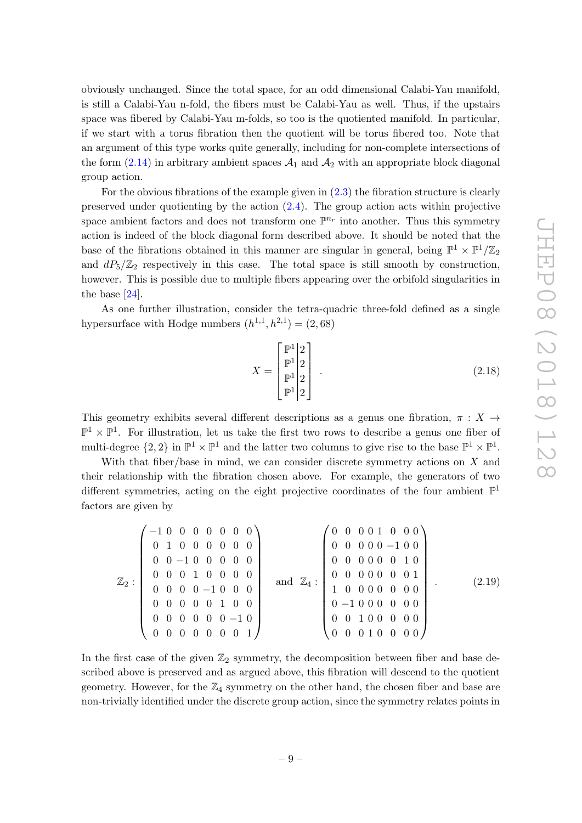obviously unchanged. Since the total space, for an odd dimensional Calabi-Yau manifold, is still a Calabi-Yau n-fold, the fibers must be Calabi-Yau as well. Thus, if the upstairs space was fibered by Calabi-Yau m-folds, so too is the quotiented manifold. In particular, if we start with a torus fibration then the quotient will be torus fibered too. Note that an argument of this type works quite generally, including for non-complete intersections of the form  $(2.14)$  in arbitrary ambient spaces  $\mathcal{A}_1$  and  $\mathcal{A}_2$  with an appropriate block diagonal group action.

For the obvious fibrations of the example given in [\(2.3\)](#page-5-3) the fibration structure is clearly preserved under quotienting by the action  $(2.4)$ . The group action acts within projective space ambient factors and does not transform one  $\mathbb{P}^{n_r}$  into another. Thus this symmetry action is indeed of the block diagonal form described above. It should be noted that the base of the fibrations obtained in this manner are singular in general, being  $\mathbb{P}^1 \times \mathbb{P}^1/\mathbb{Z}_2$ and  $dP_5/\mathbb{Z}_2$  respectively in this case. The total space is still smooth by construction, however. This is possible due to multiple fibers appearing over the orbifold singularities in the base [\[24\]](#page-19-6).

As one further illustration, consider the tetra-quadric three-fold defined as a single hypersurface with Hodge numbers  $(h^{1,1}, h^{2,1}) = (2, 68)$ 

$$
X = \begin{bmatrix} \mathbb{P}^1 \mid 2 \\ \mathbb{P}^1 \mid 2 \\ \mathbb{P}^1 \mid 2 \end{bmatrix} . \tag{2.18}
$$

This geometry exhibits several different descriptions as a genus one fibration,  $\pi : X \rightarrow$  $\mathbb{P}^1 \times \mathbb{P}^1$ . For illustration, let us take the first two rows to describe a genus one fiber of multi-degree  $\{2, 2\}$  in  $\mathbb{P}^1 \times \mathbb{P}^1$  and the latter two columns to give rise to the base  $\mathbb{P}^1 \times \mathbb{P}^1$ .

With that fiber/base in mind, we can consider discrete symmetry actions on  $X$  and their relationship with the fibration chosen above. For example, the generators of two different symmetries, acting on the eight projective coordinates of the four ambient  $\mathbb{P}^1$ factors are given by

$$
\mathbb{Z}_2: \begin{pmatrix}\n-1 & 0 & 0 & 0 & 0 & 0 & 0 & 0 \\
0 & 1 & 0 & 0 & 0 & 0 & 0 & 0 \\
0 & 0 & -1 & 0 & 0 & 0 & 0 & 0 \\
0 & 0 & 0 & 1 & 0 & 0 & 0 & 0 \\
0 & 0 & 0 & 0 & 0 & 1 & 0 & 0 \\
0 & 0 & 0 & 0 & 0 & 0 & -1 & 0 \\
0 & 0 & 0 & 0 & 0 & 0 & 0 & 1\n\end{pmatrix} \quad \text{and} \quad \mathbb{Z}_4: \begin{pmatrix}\n0 & 0 & 0 & 0 & 1 & 0 & 0 & 0 \\
0 & 0 & 0 & 0 & 0 & -1 & 0 & 0 \\
0 & 0 & 0 & 0 & 0 & 0 & 0 & 1 \\
1 & 0 & 0 & 0 & 0 & 0 & 0 & 0 \\
0 & -1 & 0 & 0 & 0 & 0 & 0 & 0 \\
0 & 0 & 1 & 0 & 0 & 0 & 0 & 0 \\
0 & 0 & 0 & 1 & 0 & 0 & 0 & 0\n\end{pmatrix}. \tag{2.19}
$$

In the first case of the given  $\mathbb{Z}_2$  symmetry, the decomposition between fiber and base described above is preserved and as argued above, this fibration will descend to the quotient geometry. However, for the  $\mathbb{Z}_4$  symmetry on the other hand, the chosen fiber and base are non-trivially identified under the discrete group action, since the symmetry relates points in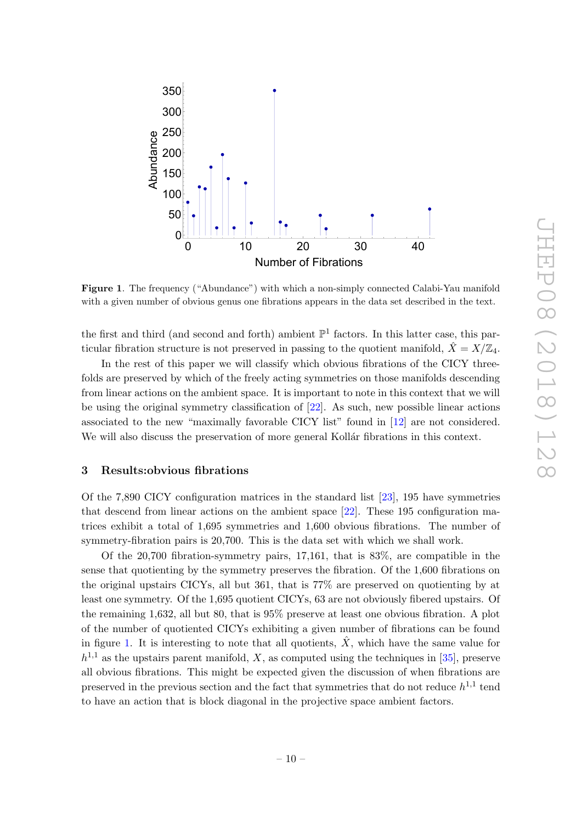

<span id="page-10-1"></span>Figure 1. The frequency ("Abundance") with which a non-simply connected Calabi-Yau manifold with a given number of obvious genus one fibrations appears in the data set described in the text.

the first and third (and second and forth) ambient  $\mathbb{P}^1$  factors. In this latter case, this particular fibration structure is not preserved in passing to the quotient manifold,  $\hat{X} = X/\mathbb{Z}_4$ .

In the rest of this paper we will classify which obvious fibrations of the CICY threefolds are preserved by which of the freely acting symmetries on those manifolds descending from linear actions on the ambient space. It is important to note in this context that we will be using the original symmetry classification of [\[22\]](#page-19-1). As such, new possible linear actions associated to the new "maximally favorable CICY list" found in [\[12\]](#page-18-6) are not considered. We will also discuss the preservation of more general Kollár fibrations in this context.

# <span id="page-10-0"></span>3 Results:obvious fibrations

Of the 7,890 CICY configuration matrices in the standard list [\[23\]](#page-19-2), 195 have symmetries that descend from linear actions on the ambient space [\[22\]](#page-19-1). These 195 configuration matrices exhibit a total of 1,695 symmetries and 1,600 obvious fibrations. The number of symmetry-fibration pairs is 20,700. This is the data set with which we shall work.

Of the 20,700 fibration-symmetry pairs, 17,161, that is 83%, are compatible in the sense that quotienting by the symmetry preserves the fibration. Of the 1,600 fibrations on the original upstairs CICYs, all but 361, that is 77% are preserved on quotienting by at least one symmetry. Of the 1,695 quotient CICYs, 63 are not obviously fibered upstairs. Of the remaining 1,632, all but 80, that is 95% preserve at least one obvious fibration. A plot of the number of quotiented CICYs exhibiting a given number of fibrations can be found in figure [1.](#page-10-1) It is interesting to note that all quotients,  $\hat{X}$ , which have the same value for  $h^{1,1}$  as the upstairs parent manifold, X, as computed using the techniques in [\[35\]](#page-19-14), preserve all obvious fibrations. This might be expected given the discussion of when fibrations are preserved in the previous section and the fact that symmetries that do not reduce  $h^{1,1}$  tend to have an action that is block diagonal in the projective space ambient factors.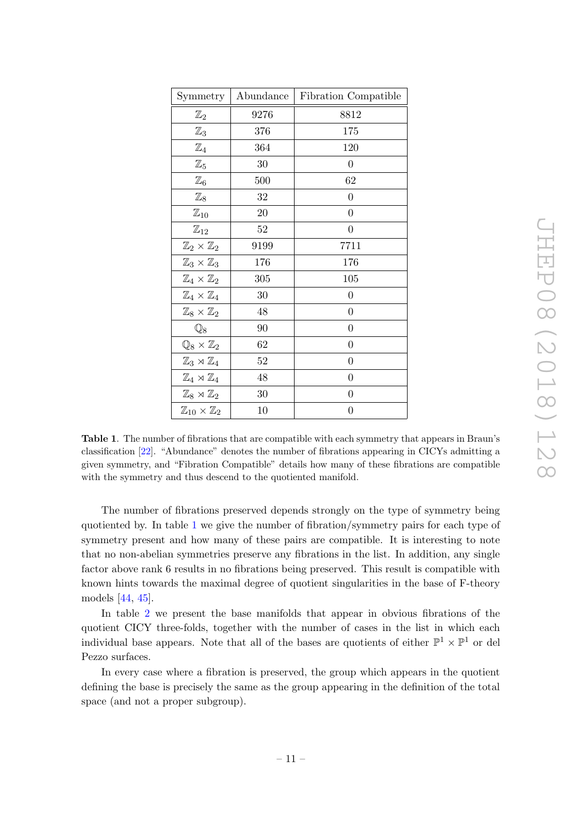| Symmetry                              | Abundance | <b>Fibration Compatible</b> |
|---------------------------------------|-----------|-----------------------------|
| $\mathbb{Z}_2$                        | 9276      | 8812                        |
| $\mathbb{Z}_3$                        | 376       | 175                         |
| $\mathbb{Z}_4$                        | 364       | 120                         |
| $\mathbb{Z}_5$                        | 30        | $\theta$                    |
| $\mathbb{Z}_6$                        | 500       | 62                          |
| $\mathbb{Z}_8$                        | 32        | $\overline{0}$              |
| $\mathbb{Z}_{10}$                     | 20        | $\overline{0}$              |
| $\mathbb{Z}_{12}$                     | $52\,$    | $\boldsymbol{0}$            |
| $\mathbb{Z}_2\times\mathbb{Z}_2$      | 9199      | 7711                        |
| $\mathbb{Z}_3\times\mathbb{Z}_3$      | 176       | 176                         |
| $\mathbb{Z}_4\times\mathbb{Z}_2$      | 305       | 105                         |
| $\mathbb{Z}_4\times\mathbb{Z}_4$      | 30        | 0                           |
| $\mathbb{Z}_8\times\mathbb{Z}_2$      | 48        | $\overline{0}$              |
| $\mathbb{Q}_8$                        | 90        | $\overline{0}$              |
| $\mathbb{Q}_8\times\mathbb{Z}_2$      | 62        | $\overline{0}$              |
| $\mathbb{Z}_3 \rtimes \mathbb{Z}_4$   | $52\,$    | $\boldsymbol{0}$            |
| $\mathbb{Z}_4\rtimes\mathbb{Z}_4$     | 48        | 0                           |
| $\mathbb{Z}_8\rtimes\mathbb{Z}_2$     | 30        | 0                           |
| $\mathbb{Z}_{10} \times \mathbb{Z}_2$ | 10        | $\overline{0}$              |

<span id="page-11-0"></span>Table 1. The number of fibrations that are compatible with each symmetry that appears in Braun's classification [\[22\]](#page-19-1). "Abundance" denotes the number of fibrations appearing in CICYs admitting a given symmetry, and "Fibration Compatible" details how many of these fibrations are compatible with the symmetry and thus descend to the quotiented manifold.

The number of fibrations preserved depends strongly on the type of symmetry being quotiented by. In table [1](#page-11-0) we give the number of fibration/symmetry pairs for each type of symmetry present and how many of these pairs are compatible. It is interesting to note that no non-abelian symmetries preserve any fibrations in the list. In addition, any single factor above rank 6 results in no fibrations being preserved. This result is compatible with known hints towards the maximal degree of quotient singularities in the base of F-theory models [\[44,](#page-20-6) [45\]](#page-20-7).

In table [2](#page-12-0) we present the base manifolds that appear in obvious fibrations of the quotient CICY three-folds, together with the number of cases in the list in which each individual base appears. Note that all of the bases are quotients of either  $\mathbb{P}^1 \times \mathbb{P}^1$  or del Pezzo surfaces.

In every case where a fibration is preserved, the group which appears in the quotient defining the base is precisely the same as the group appearing in the definition of the total space (and not a proper subgroup).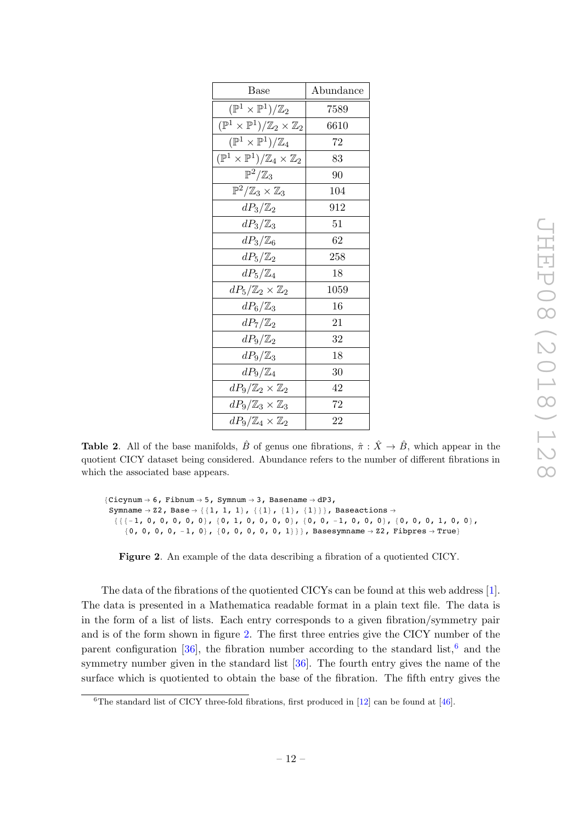| <b>Base</b>                                                                      | Abundance |
|----------------------------------------------------------------------------------|-----------|
| $(\mathbb{P}^1 \times \mathbb{P}^1)/\mathbb{Z}_2$                                | 7589      |
| $\overline{(\mathbb{P}^1 \times \mathbb{P}^1)/\mathbb{Z}_2 \times \mathbb{Z}_2}$ | 6610      |
| $(\mathbb{P}^1 \times \mathbb{P}^1)/\mathbb{Z}_4$                                | 72        |
| $(\mathbb{P}^1 \times \mathbb{P}^1)/\mathbb{Z}_4 \times \mathbb{Z}_2$            | 83        |
| $\mathbb{P}^2/\mathbb{Z}_3$                                                      | 90        |
| $\mathbb{P}^2/\mathbb{Z}_3\times\mathbb{Z}_3$                                    | 104       |
| $dP_3/\mathbb{Z}_2$                                                              | 912       |
| $dP_3/\mathbb{Z}_3$                                                              | 51        |
| $dP_3/\mathbb{Z}_6$                                                              | 62        |
| $dP_5/\mathbb{Z}_2$                                                              | 258       |
| $dP_5/\mathbb{Z}_4$                                                              | 18        |
| $dP_5/\mathbb{Z}_2\times\mathbb{Z}_2$                                            | 1059      |
| $dP_6/\mathbb{Z}_3$                                                              | 16        |
| $dP_7/\mathbb{Z}_2$                                                              | 21        |
| $dP_9/\mathbb{Z}_2$                                                              | 32        |
| $dP_9/\mathbb{Z}_3$                                                              | 18        |
| $dP_9/\mathbb{Z}_4$                                                              | 30        |
| $dP_9/\mathbb{Z}_2\times\mathbb{Z}_2$                                            | 42        |
| $dP_9/\mathbb{Z}_3\times\mathbb{Z}_3$                                            | 72        |
| $dP_9/\mathbb{Z}_4\times\mathbb{Z}_2$                                            | 22        |

**JHEP08(2018)128** 

<span id="page-12-0"></span>**Table 2.** All of the base manifolds,  $\hat{B}$  of genus one fibrations,  $\hat{\pi}: \hat{X} \to \hat{B}$ , which appear in the quotient CICY dataset being considered. Abundance refers to the number of different fibrations in which the associated base appears.

```
{Cicynum \to 6}, Fibnum \to 5, Symnum \to 3, Basename \to dP3,
Symname → Z2, Base → {{1, 1, 1}, {{1}, {1}, {1}}}, Baseactions →
  \{ \{-1, 0, 0, 0, 0, 0 \}, \{0, 1, 0, 0, 0, 0 \}, \{0, 0, -1, 0, 0, 0 \}, \{0, 0, 0, 1, 0, 0 \}{0, 0, 0, 0, -1, 0}, {0, 0, 0, 0, 0, 1}}}, Basesymname \rightarrow Z2, Fibpres \rightarrow True}
```
<span id="page-12-1"></span>**Figure 2.** An example of the data describing a fibration of a quotiented CICY.

The data of the fibrations of the quotiented CICYs can be found at this web address [1]. The data is presented in a Mathematica readable format in a plain text file. The data is in the form of a list of lists. Each entry corresponds to a given fibration/symmetry pair and is of the form shown in figure 2. The first three entries give the CICY number of the parent configuration [36], the fibration number according to the standard list,<sup>6</sup> and the symmetry number given in the standard list  $[36]$ . The fourth entry gives the name of the surface which is quotiented to obtain the base of the fibration. The fifth entry gives the

<span id="page-12-2"></span><sup>&</sup>lt;sup>6</sup>The standard list of CICY three-fold fibrations, first produced in [12] can be found at [46].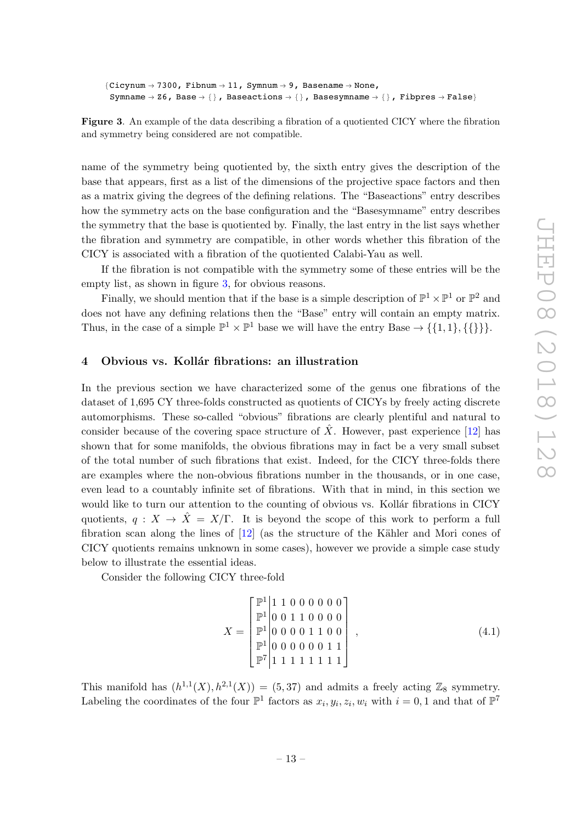<span id="page-13-1"></span> ${Cicynum \rightarrow 7300, Fibnum \rightarrow 11, Symnum \rightarrow 9, Basename \rightarrow None,$  $Symname \rightarrow 26$ , Base  $\rightarrow$  {}, Baseactions  $\rightarrow$  {}, Basesymname  $\rightarrow$  {}, Fibpres  $\rightarrow$  False}

Figure 3. An example of the data describing a fibration of a quotiented CICY where the fibration and symmetry being considered are not compatible.

name of the symmetry being quotiented by, the sixth entry gives the description of the base that appears, first as a list of the dimensions of the projective space factors and then as a matrix giving the degrees of the defining relations. The "Baseactions" entry describes how the symmetry acts on the base configuration and the "Basesymname" entry describes the symmetry that the base is quotiented by. Finally, the last entry in the list says whether the fibration and symmetry are compatible, in other words whether this fibration of the CICY is associated with a fibration of the quotiented Calabi-Yau as well.

If the fibration is not compatible with the symmetry some of these entries will be the empty list, as shown in figure [3,](#page-13-1) for obvious reasons.

Finally, we should mention that if the base is a simple description of  $\mathbb{P}^1 \times \mathbb{P}^1$  or  $\mathbb{P}^2$  and does not have any defining relations then the "Base" entry will contain an empty matrix. Thus, in the case of a simple  $\mathbb{P}^1 \times \mathbb{P}^1$  base we will have the entry Base  $\rightarrow \{\{1,1\},\{\{\}\}\}.$ 

#### <span id="page-13-0"></span>4 Obvious vs. Kollár fibrations: an illustration

In the previous section we have characterized some of the genus one fibrations of the dataset of 1,695 CY three-folds constructed as quotients of CICYs by freely acting discrete automorphisms. These so-called "obvious" fibrations are clearly plentiful and natural to consider because of the covering space structure of  $\ddot{X}$ . However, past experience [\[12\]](#page-18-6) has shown that for some manifolds, the obvious fibrations may in fact be a very small subset of the total number of such fibrations that exist. Indeed, for the CICY three-folds there are examples where the non-obvious fibrations number in the thousands, or in one case, even lead to a countably infinite set of fibrations. With that in mind, in this section we would like to turn our attention to the counting of obvious vs. Kollar fibrations in CICY quotients,  $q : X \to \hat{X} = X/\Gamma$ . It is beyond the scope of this work to perform a full fibration scan along the lines of  $[12]$  (as the structure of the Kähler and Mori cones of CICY quotients remains unknown in some cases), however we provide a simple case study below to illustrate the essential ideas.

Consider the following CICY three-fold

<span id="page-13-2"></span>
$$
X = \begin{bmatrix} \mathbb{P}^1 & 1 & 1 & 0 & 0 & 0 & 0 & 0 & 0 \\ \mathbb{P}^1 & 0 & 0 & 1 & 1 & 0 & 0 & 0 & 0 \\ \mathbb{P}^1 & 0 & 0 & 0 & 0 & 1 & 1 & 0 & 0 \\ \mathbb{P}^1 & 0 & 0 & 0 & 0 & 0 & 1 & 1 \\ \mathbb{P}^7 & 1 & 1 & 1 & 1 & 1 & 1 & 1 \end{bmatrix}, \tag{4.1}
$$

This manifold has  $(h^{1,1}(X), h^{2,1}(X)) = (5, 37)$  and admits a freely acting  $\mathbb{Z}_8$  symmetry. Labeling the coordinates of the four  $\mathbb{P}^1$  factors as  $x_i, y_i, z_i, w_i$  with  $i = 0, 1$  and that of  $\mathbb{P}^7$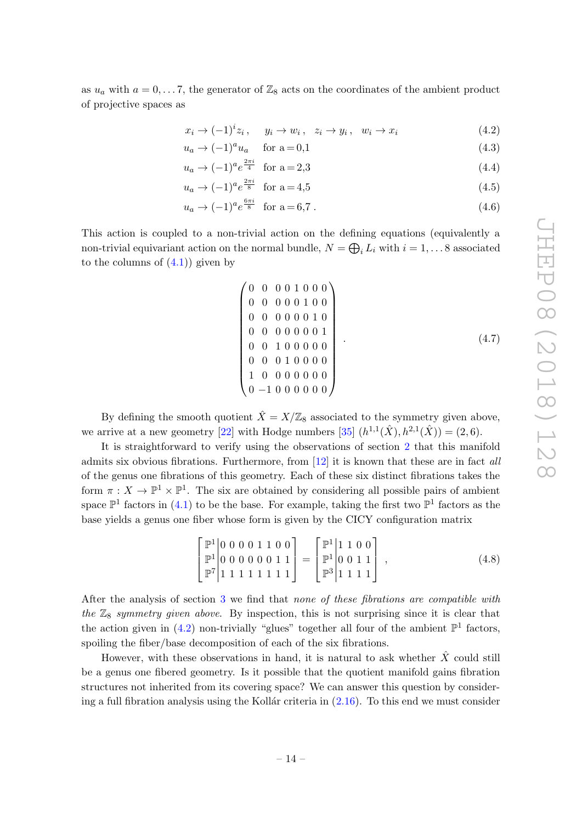as  $u_a$  with  $a = 0, \ldots, 7$ , the generator of  $\mathbb{Z}_8$  acts on the coordinates of the ambient product of projective spaces as

$$
x_i \to (-1)^i z_i, \quad y_i \to w_i, \quad z_i \to y_i, \quad w_i \to x_i \tag{4.2}
$$

$$
u_a \to (-1)^a u_a \quad \text{for a = 0,1} \tag{4.3}
$$

$$
u_a \to (-1)^a e^{\frac{2\pi i}{4}} \text{ for a = 2,3} \tag{4.4}
$$

$$
u_a \to (-1)^a e^{\frac{2\pi i}{8}} \text{ for a = 4,5}
$$
 (4.5)

$$
u_a \to (-1)^a e^{\frac{6\pi i}{8}} \text{ for a = 6,7}. \tag{4.6}
$$

This action is coupled to a non-trivial action on the defining equations (equivalently a non-trivial equivariant action on the normal bundle,  $N = \bigoplus_i L_i$  with  $i = 1, \ldots 8$  associated to the columns of  $(4.1)$  given by

<span id="page-14-0"></span>
$$
\begin{pmatrix}\n0 & 0 & 0 & 0 & 1 & 0 & 0 & 0 \\
0 & 0 & 0 & 0 & 0 & 1 & 0 & 0 \\
0 & 0 & 0 & 0 & 0 & 0 & 1 & 0 \\
0 & 0 & 0 & 0 & 0 & 0 & 0 & 1 \\
0 & 0 & 1 & 0 & 0 & 0 & 0 & 0 \\
0 & 0 & 0 & 1 & 0 & 0 & 0 & 0 \\
1 & 0 & 0 & 0 & 0 & 0 & 0 & 0 \\
0 & -1 & 0 & 0 & 0 & 0 & 0 & 0\n\end{pmatrix}.
$$
\n(4.7)

By defining the smooth quotient  $\hat{X} = X/\mathbb{Z}_8$  associated to the symmetry given above, we arrive at a new geometry [\[22\]](#page-19-1) with Hodge numbers [\[35\]](#page-19-14)  $(h^{1,1}(\hat{X}), h^{2,1}(\hat{X})) = (2,6)$ .

It is straightforward to verify using the observations of section [2](#page-4-0) that this manifold admits six obvious fibrations. Furthermore, from [\[12\]](#page-18-6) it is known that these are in fact all of the genus one fibrations of this geometry. Each of these six distinct fibrations takes the form  $\pi: X \to \mathbb{P}^1 \times \mathbb{P}^1$ . The six are obtained by considering all possible pairs of ambient space  $\mathbb{P}^1$  factors in [\(4.1\)](#page-13-2) to be the base. For example, taking the first two  $\mathbb{P}^1$  factors as the base yields a genus one fiber whose form is given by the CICY configuration matrix

$$
\begin{bmatrix} \mathbb{P}^1 & 0 & 0 & 0 & 0 & 1 & 1 & 0 & 0 \\ \mathbb{P}^1 & 0 & 0 & 0 & 0 & 0 & 0 & 1 & 1 \\ \mathbb{P}^7 & 1 & 1 & 1 & 1 & 1 & 1 & 1 \end{bmatrix} = \begin{bmatrix} \mathbb{P}^1 & 1 & 1 & 0 & 0 \\ \mathbb{P}^1 & 0 & 0 & 1 & 1 \\ \mathbb{P}^3 & 1 & 1 & 1 & 1 \end{bmatrix},
$$
\n(4.8)

After the analysis of section [3](#page-10-0) we find that none of these fibrations are compatible with the  $\mathbb{Z}_8$  symmetry given above. By inspection, this is not surprising since it is clear that the action given in [\(4.2\)](#page-14-0) non-trivially "glues" together all four of the ambient  $\mathbb{P}^1$  factors, spoiling the fiber/base decomposition of each of the six fibrations.

However, with these observations in hand, it is natural to ask whether  $\hat{X}$  could still be a genus one fibered geometry. Is it possible that the quotient manifold gains fibration structures not inherited from its covering space? We can answer this question by considering a full fibration analysis using the Kollár criteria in  $(2.16)$ . To this end we must consider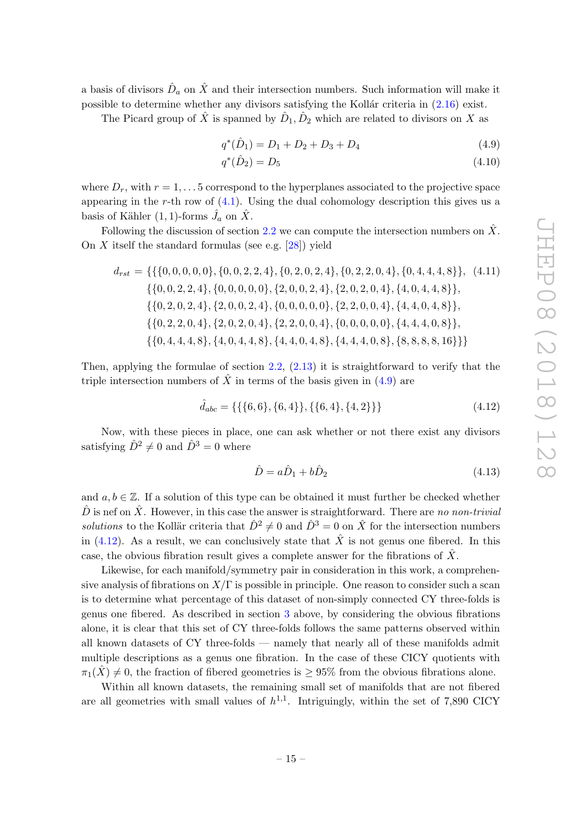a basis of divisors  $\hat{D}_a$  on  $\hat{X}$  and their intersection numbers. Such information will make it possible to determine whether any divisors satisfying the Kollár criteria in  $(2.16)$  exist.

The Picard group of  $\hat{X}$  is spanned by  $\hat{D}_1, \hat{D}_2$  which are related to divisors on X as

$$
q^*(\hat{D}_1) = D_1 + D_2 + D_3 + D_4 \tag{4.9}
$$

<span id="page-15-0"></span>
$$
q^*(\hat{D}_2) = D_5 \tag{4.10}
$$

where  $D_r$ , with  $r = 1, \ldots 5$  correspond to the hyperplanes associated to the projective space appearing in the r-th row of  $(4.1)$ . Using the dual cohomology description this gives us a basis of Kähler  $(1, 1)$ -forms  $\hat{J}_a$  on  $\hat{X}$ .

Following the discussion of section [2.2](#page-5-0) we can compute the intersection numbers on  $\hat{X}$ . On X itself the standard formulas (see e.g.  $[28]$ ) yield

$$
d_{rst} = \{ \{ \{0, 0, 0, 0, 0\}, \{0, 0, 2, 2, 4\}, \{0, 2, 0, 2, 4\}, \{0, 2, 2, 0, 4\}, \{0, 4, 4, 4, 8\} \}, (4.11)
$$

$$
\{ \{0, 0, 2, 2, 4\}, \{0, 0, 0, 0, 0\}, \{2, 0, 0, 2, 4\}, \{2, 0, 2, 0, 4\}, \{4, 0, 4, 4, 8\} \}, \{ \{0, 2, 0, 2, 4\}, \{2, 0, 0, 2, 4\}, \{0, 0, 0, 0, 0\}, \{2, 2, 0, 0, 4\}, \{4, 4, 0, 4, 8\} \}, \{ \{0, 2, 2, 0, 4\}, \{2, 0, 2, 0, 4\}, \{0, 2, 0, 0, 0\}, \{4, 4, 4, 0, 8\} \}, \{ \{0, 4, 4, 4, 8\}, \{4, 0, 4, 8\}, \{4, 4, 0, 4, 8\}, \{4, 4, 4, 0, 8\}, \{8, 8, 8, 8, 16\} \} \}
$$

Then, applying the formulae of section  $2.2$ ,  $(2.13)$  it is straightforward to verify that the triple intersection numbers of  $\hat{X}$  in terms of the basis given in [\(4.9\)](#page-15-0) are

<span id="page-15-1"></span>
$$
\hat{d}_{abc} = \{\{\{6, 6\}, \{6, 4\}\}, \{\{6, 4\}, \{4, 2\}\}\}\
$$
\n(4.12)

Now, with these pieces in place, one can ask whether or not there exist any divisors satisfying  $\hat{D}^2 \neq 0$  and  $\hat{D}^3 = 0$  where

$$
\hat{D} = a\hat{D}_1 + b\hat{D}_2 \tag{4.13}
$$

and  $a, b \in \mathbb{Z}$ . If a solution of this type can be obtained it must further be checked whether  $\hat{D}$  is nef on  $\hat{X}$ . However, in this case the answer is straightforward. There are no non-trivial solutions to the Kollär criteria that  $\hat{D}^2 \neq 0$  and  $\hat{D}^3 = 0$  on  $\hat{X}$  for the intersection numbers in [\(4.12\)](#page-15-1). As a result, we can conclusively state that  $\hat{X}$  is not genus one fibered. In this case, the obvious fibration result gives a complete answer for the fibrations of  $X$ .

Likewise, for each manifold/symmetry pair in consideration in this work, a comprehensive analysis of fibrations on  $X/\Gamma$  is possible in principle. One reason to consider such a scan is to determine what percentage of this dataset of non-simply connected CY three-folds is genus one fibered. As described in section [3](#page-10-0) above, by considering the obvious fibrations alone, it is clear that this set of CY three-folds follows the same patterns observed within all known datasets of CY three-folds — namely that nearly all of these manifolds admit multiple descriptions as a genus one fibration. In the case of these CICY quotients with  $\pi_1(\hat{X}) \neq 0$ , the fraction of fibered geometries is  $\geq 95\%$  from the obvious fibrations alone.

Within all known datasets, the remaining small set of manifolds that are not fibered are all geometries with small values of  $h^{1,1}$ . Intriguingly, within the set of 7,890 CICY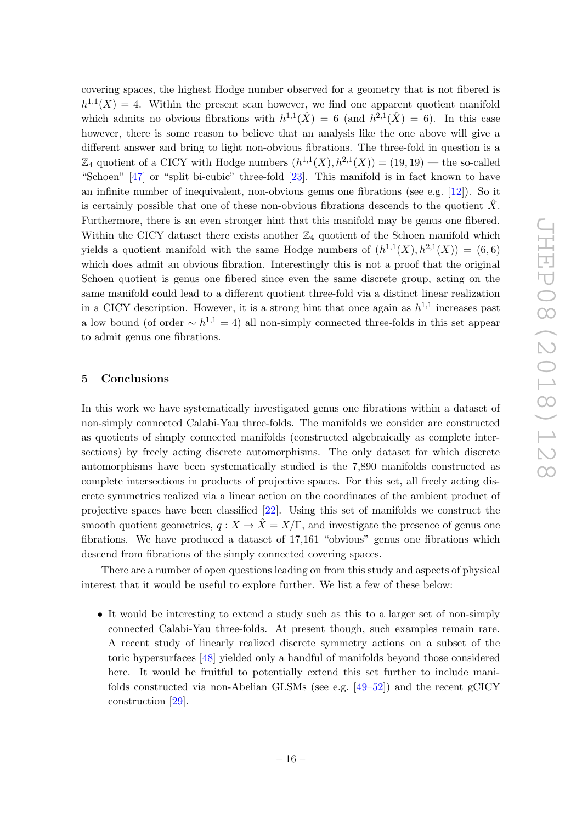covering spaces, the highest Hodge number observed for a geometry that is not fibered is  $h^{1,1}(X) = 4$ . Within the present scan however, we find one apparent quotient manifold which admits no obvious fibrations with  $h^{1,1}(\hat{X}) = 6$  (and  $h^{2,1}(\hat{X}) = 6$ ). In this case however, there is some reason to believe that an analysis like the one above will give a different answer and bring to light non-obvious fibrations. The three-fold in question is a  $\mathbb{Z}_4$  quotient of a CICY with Hodge numbers  $(h^{1,1}(X), h^{2,1}(X)) = (19, 19)$  — the so-called "Schoen" [\[47\]](#page-20-9) or "split bi-cubic" three-fold [\[23\]](#page-19-2). This manifold is in fact known to have an infinite number of inequivalent, non-obvious genus one fibrations (see e.g. [\[12\]](#page-18-6)). So it is certainly possible that one of these non-obvious fibrations descends to the quotient  $X$ . Furthermore, there is an even stronger hint that this manifold may be genus one fibered. Within the CICY dataset there exists another  $\mathbb{Z}_4$  quotient of the Schoen manifold which yields a quotient manifold with the same Hodge numbers of  $(h^{1,1}(X), h^{2,1}(X)) = (6,6)$ which does admit an obvious fibration. Interestingly this is not a proof that the original Schoen quotient is genus one fibered since even the same discrete group, acting on the same manifold could lead to a different quotient three-fold via a distinct linear realization in a CICY description. However, it is a strong hint that once again as  $h^{1,1}$  increases past a low bound (of order  $\sim h^{1,1} = 4$ ) all non-simply connected three-folds in this set appear to admit genus one fibrations.

# <span id="page-16-0"></span>5 Conclusions

In this work we have systematically investigated genus one fibrations within a dataset of non-simply connected Calabi-Yau three-folds. The manifolds we consider are constructed as quotients of simply connected manifolds (constructed algebraically as complete intersections) by freely acting discrete automorphisms. The only dataset for which discrete automorphisms have been systematically studied is the 7,890 manifolds constructed as complete intersections in products of projective spaces. For this set, all freely acting discrete symmetries realized via a linear action on the coordinates of the ambient product of projective spaces have been classified [\[22\]](#page-19-1). Using this set of manifolds we construct the smooth quotient geometries,  $q: X \to \hat{X} = X/\Gamma$ , and investigate the presence of genus one fibrations. We have produced a dataset of 17,161 "obvious" genus one fibrations which descend from fibrations of the simply connected covering spaces.

There are a number of open questions leading on from this study and aspects of physical interest that it would be useful to explore further. We list a few of these below:

• It would be interesting to extend a study such as this to a larger set of non-simply connected Calabi-Yau three-folds. At present though, such examples remain rare. A recent study of linearly realized discrete symmetry actions on a subset of the toric hypersurfaces [\[48\]](#page-20-10) yielded only a handful of manifolds beyond those considered here. It would be fruitful to potentially extend this set further to include manifolds constructed via non-Abelian GLSMs (see e.g. [\[49–](#page-20-11)[52\]](#page-20-12)) and the recent gCICY construction [\[29\]](#page-19-10).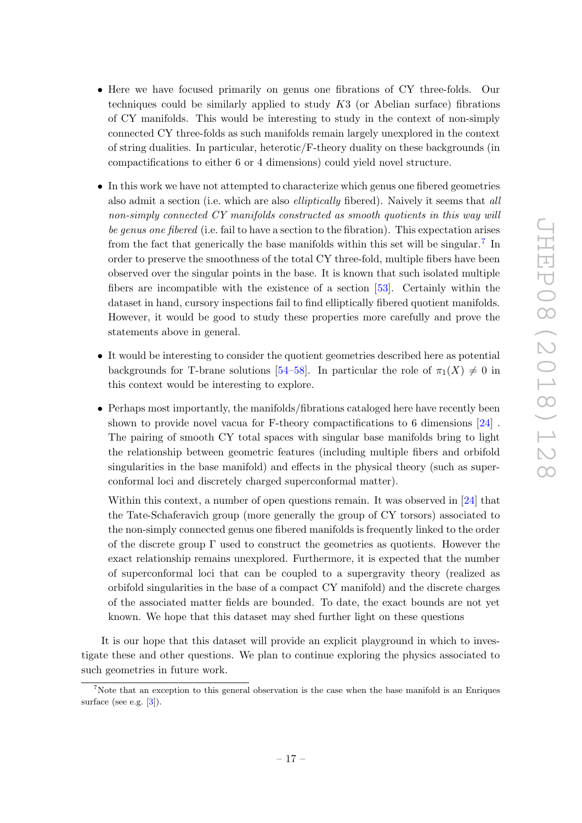- Here we have focused primarily on genus one fibrations of CY three-folds. Our techniques could be similarly applied to study  $K3$  (or Abelian surface) fibrations of CY manifolds. This would be interesting to study in the context of non-simply connected CY three-folds as such manifolds remain largely unexplored in the context of string dualities. In particular, heterotic/F-theory duality on these backgrounds (in compactifications to either 6 or 4 dimensions) could yield novel structure.
- In this work we have not attempted to characterize which genus one fibered geometries also admit a section (i.e. which are also elliptically fibered). Naively it seems that all non-simply connected CY manifolds constructed as smooth quotients in this way will be genus one fibered (i.e. fail to have a section to the fibration). This expectation arises from the fact that generically the base manifolds within this set will be singular.<sup>[7](#page-17-0)</sup> In order to preserve the smoothness of the total CY three-fold, multiple fibers have been observed over the singular points in the base. It is known that such isolated multiple fibers are incompatible with the existence of a section [\[53\]](#page-20-13). Certainly within the dataset in hand, cursory inspections fail to find elliptically fibered quotient manifolds. However, it would be good to study these properties more carefully and prove the statements above in general.
- It would be interesting to consider the quotient geometries described here as potential backgrounds for T-brane solutions [\[54](#page-20-14)[–58\]](#page-20-15). In particular the role of  $\pi_1(X) \neq 0$  in this context would be interesting to explore.
- Perhaps most importantly, the manifolds/fibrations cataloged here have recently been shown to provide novel vacua for F-theory compactifications to 6 dimensions [\[24\]](#page-19-6) . The pairing of smooth CY total spaces with singular base manifolds bring to light the relationship between geometric features (including multiple fibers and orbifold singularities in the base manifold) and effects in the physical theory (such as superconformal loci and discretely charged superconformal matter).

Within this context, a number of open questions remain. It was observed in [\[24\]](#page-19-6) that the Tate-Schaferavich group (more generally the group of CY torsors) associated to the non-simply connected genus one fibered manifolds is frequently linked to the order of the discrete group  $\Gamma$  used to construct the geometries as quotients. However the exact relationship remains unexplored. Furthermore, it is expected that the number of superconformal loci that can be coupled to a supergravity theory (realized as orbifold singularities in the base of a compact CY manifold) and the discrete charges of the associated matter fields are bounded. To date, the exact bounds are not yet known. We hope that this dataset may shed further light on these questions

It is our hope that this dataset will provide an explicit playground in which to investigate these and other questions. We plan to continue exploring the physics associated to such geometries in future work.

<span id="page-17-0"></span><sup>7</sup>Note that an exception to this general observation is the case when the base manifold is an Enriques surface (see e.g. [\[3\]](#page-18-2)).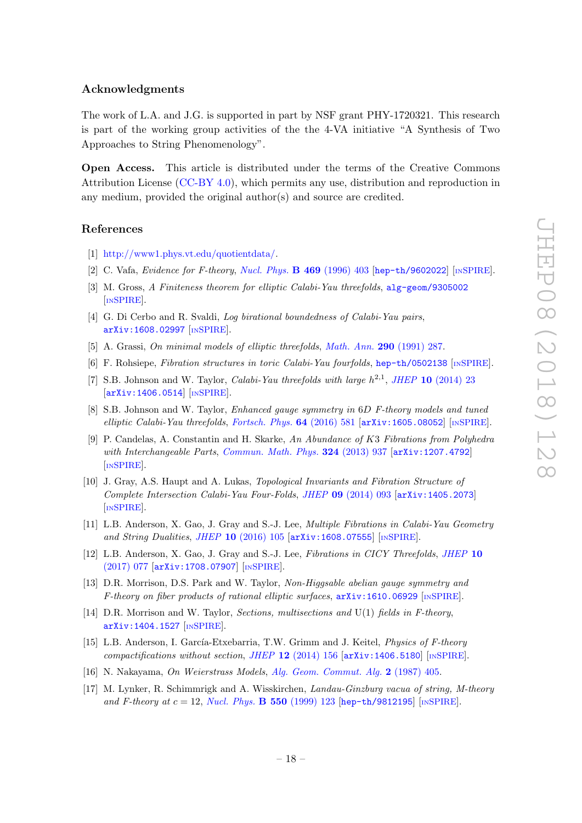#### Acknowledgments

The work of L.A. and J.G. is supported in part by NSF grant PHY-1720321. This research is part of the working group activities of the the 4-VA initiative "A Synthesis of Two Approaches to String Phenomenology".

Open Access. This article is distributed under the terms of the Creative Commons Attribution License [\(CC-BY 4.0\)](https://creativecommons.org/licenses/by/4.0/), which permits any use, distribution and reproduction in any medium, provided the original author(s) and source are credited.

#### References

- <span id="page-18-0"></span>[1] [http://www1.phys.vt.edu/quotientdata/.](http://www1.phys.vt.edu/quotientdata/)
- <span id="page-18-1"></span>[2] C. Vafa, *Evidence for F-theory, [Nucl. Phys.](https://doi.org/10.1016/0550-3213(96)00172-1)* **B 469** (1996) 403 [[hep-th/9602022](https://arxiv.org/abs/hep-th/9602022)] [IN[SPIRE](https://inspirehep.net/search?p=find+EPRINT+hep-th/9602022)].
- <span id="page-18-2"></span>[3] M. Gross, A Finiteness theorem for elliptic Calabi-Yau threefolds,  $a_1g$ -geom/9305002 [IN[SPIRE](https://inspirehep.net/search?p=find+EPRINT+alg-geom/9305002)].
- <span id="page-18-3"></span>[4] G. Di Cerbo and R. Svaldi, Log birational boundedness of Calabi-Yau pairs, [arXiv:1608.02997](https://arxiv.org/abs/1608.02997) [IN[SPIRE](https://inspirehep.net/search?p=find+EPRINT+arXiv:1608.02997)].
- <span id="page-18-4"></span>[5] A. Grassi, On minimal models of elliptic threefolds, [Math. Ann.](https://doi.org/10.1007/BF01459246) 290 (1991) 287.
- <span id="page-18-5"></span>[6] F. Rohsiepe, Fibration structures in toric Calabi-Yau fourfolds, [hep-th/0502138](https://arxiv.org/abs/hep-th/0502138) [IN[SPIRE](https://inspirehep.net/search?p=find+EPRINT+hep-th/0502138)].
- [7] S.B. Johnson and W. Taylor, *Calabi-Yau threefolds with large*  $h^{2,1}$ *, JHEP* 10 [\(2014\) 23](https://doi.org/10.1007/JHEP10(2014)23) [[arXiv:1406.0514](https://arxiv.org/abs/1406.0514)] [IN[SPIRE](https://inspirehep.net/search?p=find+EPRINT+arXiv:1406.0514)].
- [8] S.B. Johnson and W. Taylor, Enhanced gauge symmetry in 6D F-theory models and tuned elliptic Calabi-Yau threefolds, [Fortsch. Phys.](https://doi.org/10.1002/prop.201600074) 64 (2016) 581 [[arXiv:1605.08052](https://arxiv.org/abs/1605.08052)] [IN[SPIRE](https://inspirehep.net/search?p=find+EPRINT+arXiv:1605.08052)].
- [9] P. Candelas, A. Constantin and H. Skarke, An Abundance of K3 Fibrations from Polyhedra with Interchangeable Parts, [Commun. Math. Phys.](https://doi.org/10.1007/s00220-013-1802-2) 324 (2013) 937  $\left[$ [arXiv:1207.4792](https://arxiv.org/abs/1207.4792) $\right]$ [IN[SPIRE](https://inspirehep.net/search?p=find+EPRINT+arXiv:1207.4792)].
- <span id="page-18-7"></span>[10] J. Gray, A.S. Haupt and A. Lukas, Topological Invariants and Fibration Structure of Complete Intersection Calabi-Yau Four-Folds, JHEP 09 [\(2014\) 093](https://doi.org/10.1007/JHEP09(2014)093) [[arXiv:1405.2073](https://arxiv.org/abs/1405.2073)] [IN[SPIRE](https://inspirehep.net/search?p=find+EPRINT+arXiv:1405.2073)].
- <span id="page-18-8"></span>[11] L.B. Anderson, X. Gao, J. Gray and S.-J. Lee, Multiple Fibrations in Calabi-Yau Geometry and String Dualities, JHEP  $10$  [\(2016\) 105](https://doi.org/10.1007/JHEP10(2016)105)  $\text{arXiv:1608.07555}$  $\text{arXiv:1608.07555}$  $\text{arXiv:1608.07555}$  [IN[SPIRE](https://inspirehep.net/search?p=find+EPRINT+arXiv:1608.07555)].
- <span id="page-18-6"></span>[12] L.B. Anderson, X. Gao, J. Gray and S.-J. Lee, Fibrations in CICY Threefolds, [JHEP](https://doi.org/10.1007/JHEP10(2017)077) 10 [\(2017\) 077](https://doi.org/10.1007/JHEP10(2017)077) [[arXiv:1708.07907](https://arxiv.org/abs/1708.07907)] [IN[SPIRE](https://inspirehep.net/search?p=find+EPRINT+arXiv:1708.07907)].
- <span id="page-18-9"></span>[13] D.R. Morrison, D.S. Park and W. Taylor, Non-Higgsable abelian gauge symmetry and F-theory on fiber products of rational elliptic surfaces,  $arXiv:1610.06929$  [IN[SPIRE](https://inspirehep.net/search?p=find+EPRINT+arXiv:1610.06929)].
- <span id="page-18-12"></span>[14] D.R. Morrison and W. Taylor, Sections, multisections and U(1) fields in F-theory, [arXiv:1404.1527](https://arxiv.org/abs/1404.1527) [IN[SPIRE](https://inspirehep.net/search?p=find+EPRINT+arXiv:1404.1527)].
- <span id="page-18-13"></span>[15] L.B. Anderson, I. García-Etxebarria, T.W. Grimm and J. Keitel, *Physics of F-theory* compactifications without section, JHEP  $12$  [\(2014\) 156](https://doi.org/10.1007/JHEP12(2014)156) [[arXiv:1406.5180](https://arxiv.org/abs/1406.5180)] [IN[SPIRE](https://inspirehep.net/search?p=find+EPRINT+arXiv:1406.5180)].
- <span id="page-18-10"></span>[16] N. Nakayama, On Weierstrass Models, [Alg. Geom. Commut. Alg.](https://doi.org/10.1016/B978-0-12-348032-3.50004-9) 2 (1987) 405.
- <span id="page-18-11"></span>[17] M. Lynker, R. Schimmrigk and A. Wisskirchen, Landau-Ginzburg vacua of string, M-theory and F-theory at  $c = 12$ , [Nucl. Phys.](https://doi.org/10.1016/S0550-3213(99)00204-7) **B** 550 (1999) 123 [[hep-th/9812195](https://arxiv.org/abs/hep-th/9812195)] [IN[SPIRE](https://inspirehep.net/search?p=find+EPRINT+hep-th/9812195)].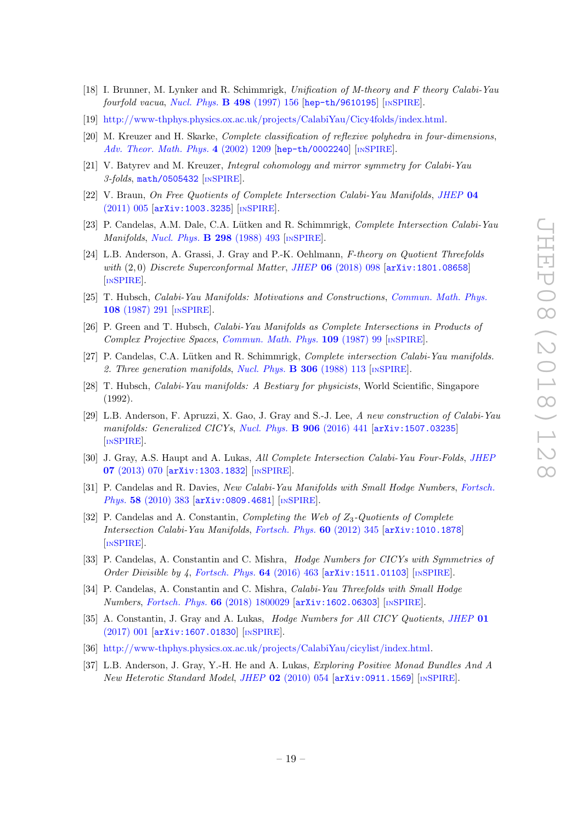- <span id="page-19-0"></span>[18] I. Brunner, M. Lynker and R. Schimmrigk, Unification of M-theory and F theory Calabi-Yau fourfold vacua, [Nucl. Phys.](https://doi.org/10.1016/S0550-3213(97)89481-3)  $B$  498 (1997) 156 [[hep-th/9610195](https://arxiv.org/abs/hep-th/9610195)] [IN[SPIRE](https://inspirehep.net/search?p=find+EPRINT+hep-th/9610195)].
- <span id="page-19-3"></span>[19] [http://www-thphys.physics.ox.ac.uk/projects/CalabiYau/Cicy4folds/index.html.](http://www-thphys.physics.ox.ac.uk/projects/CalabiYau/Cicy4folds/index.html)
- <span id="page-19-4"></span>[20] M. Kreuzer and H. Skarke, Complete classification of reflexive polyhedra in four-dimensions, [Adv. Theor. Math. Phys.](https://doi.org/10.4310/ATMP.2000.v4.n6.a2) 4 (2002) 1209 [[hep-th/0002240](https://arxiv.org/abs/hep-th/0002240)] [IN[SPIRE](https://inspirehep.net/search?p=find+EPRINT+hep-th/0002240)].
- <span id="page-19-5"></span>[21] V. Batyrev and M. Kreuzer, Integral cohomology and mirror symmetry for Calabi-Yau 3-folds, [math/0505432](https://arxiv.org/abs/math/0505432) [IN[SPIRE](https://inspirehep.net/search?p=find+EPRINT+math/0505432)].
- <span id="page-19-1"></span>[22] V. Braun, On Free Quotients of Complete Intersection Calabi-Yau Manifolds, [JHEP](https://doi.org/10.1007/JHEP04(2011)005) 04 [\(2011\) 005](https://doi.org/10.1007/JHEP04(2011)005) [[arXiv:1003.3235](https://arxiv.org/abs/1003.3235)] [IN[SPIRE](https://inspirehep.net/search?p=find+EPRINT+arXiv:1003.3235)].
- <span id="page-19-2"></span>[23] P. Candelas, A.M. Dale, C.A. Lütken and R. Schimmrigk, Complete Intersection Calabi-Yau Manifolds, [Nucl. Phys.](https://doi.org/10.1016/0550-3213(88)90352-5)  $\bf{B}$  298 (1988) 493 [IN[SPIRE](https://inspirehep.net/search?p=find+J+%22Nucl.Phys.,B298,493%22)].
- <span id="page-19-6"></span>[24] L.B. Anderson, A. Grassi, J. Gray and P.-K. Oehlmann, F-theory on Quotient Threefolds with  $(2,0)$  Discrete Superconformal Matter, JHEP 06  $(2018)$  098 [[arXiv:1801.08658](https://arxiv.org/abs/1801.08658)] [IN[SPIRE](https://inspirehep.net/search?p=find+EPRINT+arXiv:1801.08658)].
- <span id="page-19-7"></span>[25] T. Hubsch, Calabi-Yau Manifolds: Motivations and Constructions, [Commun. Math. Phys.](https://doi.org/10.1007/BF01210616) 108 [\(1987\) 291](https://doi.org/10.1007/BF01210616) [IN[SPIRE](https://inspirehep.net/search?p=find+J+%22Comm.Math.Phys.,108,291%22)].
- <span id="page-19-11"></span>[26] P. Green and T. Hubsch, Calabi-Yau Manifolds as Complete Intersections in Products of Complex Projective Spaces, [Commun. Math. Phys.](https://doi.org/10.1007/BF01205673) 109 (1987) 99 [IN[SPIRE](https://inspirehep.net/search?p=find+J+%22Comm.Math.Phys.,109,99%22)].
- <span id="page-19-8"></span>[27] P. Candelas, C.A. Lütken and R. Schimmrigk, Complete intersection Calabi-Yau manifolds. 2. Three generation manifolds, [Nucl. Phys.](https://doi.org/10.1016/0550-3213(88)90173-3)  $\bf{B}$  306 (1988) 113 [IN[SPIRE](https://inspirehep.net/search?p=find+J+%22Nucl.Phys.,B306,113%22)].
- <span id="page-19-9"></span>[28] T. Hubsch, Calabi-Yau manifolds: A Bestiary for physicists, World Scientific, Singapore (1992).
- <span id="page-19-10"></span>[29] L.B. Anderson, F. Apruzzi, X. Gao, J. Gray and S.-J. Lee, A new construction of Calabi-Yau manifolds: Generalized CICYs, [Nucl. Phys.](https://doi.org/10.1016/j.nuclphysb.2016.03.016) B  $906$  (2016) 441 [[arXiv:1507.03235](https://arxiv.org/abs/1507.03235)] [IN[SPIRE](https://inspirehep.net/search?p=find+EPRINT+arXiv:1507.03235)].
- <span id="page-19-12"></span>[30] J. Gray, A.S. Haupt and A. Lukas, All Complete Intersection Calabi-Yau Four-Folds, [JHEP](https://doi.org/10.1007/JHEP07(2013)070) 07 [\(2013\) 070](https://doi.org/10.1007/JHEP07(2013)070) [[arXiv:1303.1832](https://arxiv.org/abs/1303.1832)] [IN[SPIRE](https://inspirehep.net/search?p=find+EPRINT+arXiv:1303.1832)].
- <span id="page-19-13"></span>[31] P. Candelas and R. Davies, New Calabi-Yau Manifolds with Small Hodge Numbers, [Fortsch.](https://doi.org/10.1002/prop.200900105) Phys. 58 [\(2010\) 383](https://doi.org/10.1002/prop.200900105) [[arXiv:0809.4681](https://arxiv.org/abs/0809.4681)] [IN[SPIRE](https://inspirehep.net/search?p=find+EPRINT+arXiv:0809.4681)].
- [32] P. Candelas and A. Constantin, Completing the Web of  $Z_3$ -Quotients of Complete Intersection Calabi-Yau Manifolds, [Fortsch. Phys.](https://doi.org/10.1002/prop.201200044) 60 (2012) 345 [[arXiv:1010.1878](https://arxiv.org/abs/1010.1878)] [IN[SPIRE](https://inspirehep.net/search?p=find+EPRINT+arXiv:1010.1878)].
- [33] P. Candelas, A. Constantin and C. Mishra, Hodge Numbers for CICYs with Symmetries of Order Divisible by 4, [Fortsch. Phys.](https://doi.org/10.1002/prop.201600005)  $64$  (2016) 463  $\text{arXiv:1511.01103}$  $\text{arXiv:1511.01103}$  $\text{arXiv:1511.01103}$  [IN[SPIRE](https://inspirehep.net/search?p=find+EPRINT+arXiv:1511.01103)].
- [34] P. Candelas, A. Constantin and C. Mishra, *Calabi-Yau Threefolds with Small Hodge* Numbers, Fortsch. Phys. 66 [\(2018\) 1800029](https://doi.org/10.1002/prop.201800029) [[arXiv:1602.06303](https://arxiv.org/abs/1602.06303)] [IN[SPIRE](https://inspirehep.net/search?p=find+EPRINT+arXiv:1602.06303)].
- <span id="page-19-14"></span>[35] A. Constantin, J. Gray and A. Lukas, Hodge Numbers for All CICY Quotients, [JHEP](https://doi.org/10.1007/JHEP01(2017)001) 01 [\(2017\) 001](https://doi.org/10.1007/JHEP01(2017)001) [[arXiv:1607.01830](https://arxiv.org/abs/1607.01830)] [IN[SPIRE](https://inspirehep.net/search?p=find+EPRINT+arXiv:1607.01830)].
- <span id="page-19-15"></span>[36] [http://www-thphys.physics.ox.ac.uk/projects/CalabiYau/cicylist/index.html.](http://www-thphys.physics.ox.ac.uk/projects/CalabiYau/cicylist/index.html)
- <span id="page-19-16"></span>[37] L.B. Anderson, J. Gray, Y.-H. He and A. Lukas, Exploring Positive Monad Bundles And A New Heterotic Standard Model, JHEP 02 [\(2010\) 054](https://doi.org/10.1007/JHEP02(2010)054) [[arXiv:0911.1569](https://arxiv.org/abs/0911.1569)] [IN[SPIRE](https://inspirehep.net/search?p=find+EPRINT+arXiv:0911.1569)].